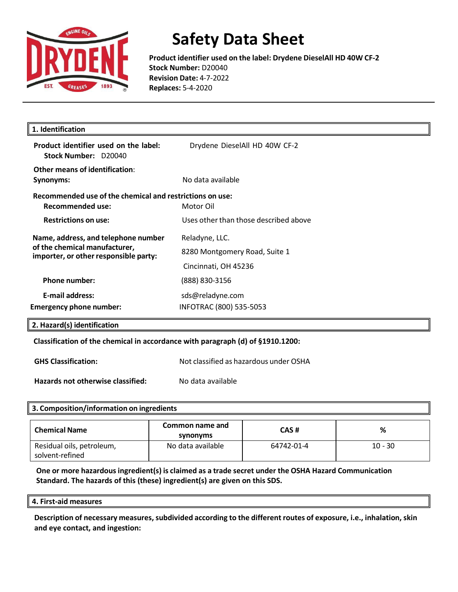

**Product identifier used on the label: Drydene DieselAll HD 40W CF-2 Stock Number:** D20040 **Revision Date:** 4-7-2022 **Replaces:** 5-4-2020

| 1. Identification                                                                                             |                                       |
|---------------------------------------------------------------------------------------------------------------|---------------------------------------|
| Product identifier used on the label:<br>Stock Number: D20040                                                 | Drydene DieselAll HD 40W CF-2         |
| Other means of identification:                                                                                |                                       |
| Synonyms:                                                                                                     | No data available                     |
| Recommended use of the chemical and restrictions on use:                                                      |                                       |
| <b>Recommended use:</b>                                                                                       | Motor Oil                             |
| <b>Restrictions on use:</b>                                                                                   | Uses other than those described above |
| Name, address, and telephone number<br>of the chemical manufacturer,<br>importer, or other responsible party: | Reladyne, LLC.                        |
|                                                                                                               | 8280 Montgomery Road, Suite 1         |
|                                                                                                               | Cincinnati, OH 45236                  |
| <b>Phone number:</b>                                                                                          | (888) 830-3156                        |
| <b>E-mail address:</b>                                                                                        | sds@reladyne.com                      |
| <b>Emergency phone number:</b>                                                                                | INFOTRAC (800) 535-5053               |

**Classification of the chemical in accordance with paragraph (d) of §1910.1200:** 

**GHS Classification:** Not classified as hazardous under OSHA

**Hazards not otherwise classified:** No data available

| 3. Composition/information on ingredients    |                             |            |           |
|----------------------------------------------|-----------------------------|------------|-----------|
| <b>Chemical Name</b>                         | Common name and<br>synonyms | CAS#       | %         |
| Residual oils, petroleum,<br>solvent-refined | No data available           | 64742-01-4 | $10 - 30$ |

**One or more hazardousingredient(s) is claimed as a trade secret under the OSHA Hazard Communication Standard. The hazards of this (these) ingredient(s) are given on this SDS.**

**4. First-aid measures**

**Description of necessary measures,subdivided according to the different routes of exposure, i.e., inhalation, skin and eye contact, and ingestion:**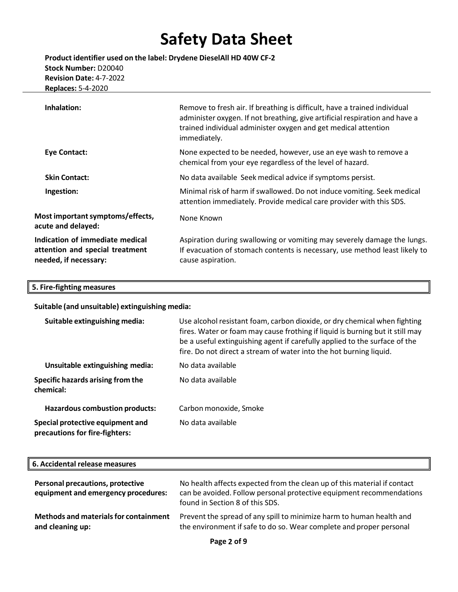**Product identifier used on the label: Drydene DieselAll HD 40W CF-2 Stock Number:** D20040 **Revision Date:** 4-7-2022  **Replaces:** 5-4-2020

| Inhalation:                                                                                 | Remove to fresh air. If breathing is difficult, have a trained individual<br>administer oxygen. If not breathing, give artificial respiration and have a<br>trained individual administer oxygen and get medical attention<br>immediately. |
|---------------------------------------------------------------------------------------------|--------------------------------------------------------------------------------------------------------------------------------------------------------------------------------------------------------------------------------------------|
| Eye Contact:                                                                                | None expected to be needed, however, use an eye wash to remove a<br>chemical from your eye regardless of the level of hazard.                                                                                                              |
| <b>Skin Contact:</b>                                                                        | No data available Seek medical advice if symptoms persist.                                                                                                                                                                                 |
| Ingestion:                                                                                  | Minimal risk of harm if swallowed. Do not induce vomiting. Seek medical<br>attention immediately. Provide medical care provider with this SDS.                                                                                             |
| Most important symptoms/effects,<br>acute and delayed:                                      | None Known                                                                                                                                                                                                                                 |
| Indication of immediate medical<br>attention and special treatment<br>needed, if necessary: | Aspiration during swallowing or vomiting may severely damage the lungs.<br>If evacuation of stomach contents is necessary, use method least likely to<br>cause aspiration.                                                                 |
|                                                                                             |                                                                                                                                                                                                                                            |

#### **5. Fire-fighting measures**

**Suitable (and unsuitable) extinguishing media:**

| Suitable extinguishing media:                                      | Use alcohol resistant foam, carbon dioxide, or dry chemical when fighting<br>fires. Water or foam may cause frothing if liquid is burning but it still may<br>be a useful extinguishing agent if carefully applied to the surface of the<br>fire. Do not direct a stream of water into the hot burning liquid. |
|--------------------------------------------------------------------|----------------------------------------------------------------------------------------------------------------------------------------------------------------------------------------------------------------------------------------------------------------------------------------------------------------|
| Unsuitable extinguishing media:                                    | No data available                                                                                                                                                                                                                                                                                              |
| Specific hazards arising from the<br>chemical:                     | No data available                                                                                                                                                                                                                                                                                              |
| <b>Hazardous combustion products:</b>                              | Carbon monoxide, Smoke                                                                                                                                                                                                                                                                                         |
| Special protective equipment and<br>precautions for fire-fighters: | No data available                                                                                                                                                                                                                                                                                              |

#### **Personal precautions, protective equipment and emergency procedures:** No health affects expected from the clean up of this material if contact can be avoided. Follow personal protective equipment recommendations found in Section 8 of this SDS. **Methods and materialsfor containment and cleaning up:** Prevent the spread of any spill to minimize harm to human health and the environment if safe to do so. Wear complete and proper personal **6. Accidental release measures**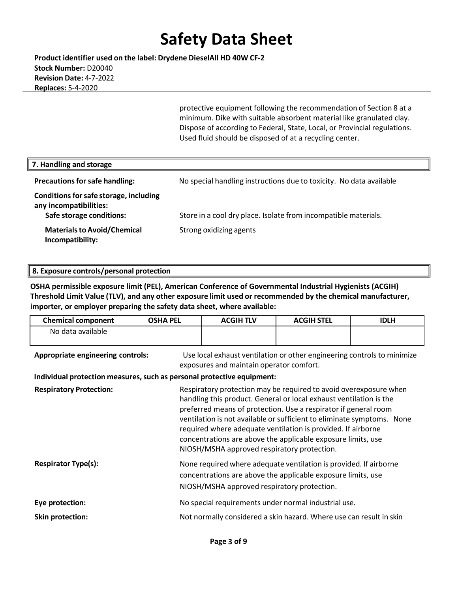**Product identifier used on the label: Drydene DieselAll HD 40W CF-2 Stock Number:** D20040 **Revision Date:** 4-7-2022  **Replaces:** 5-4-2020

> protective equipment following the recommendation of Section 8 at a minimum. Dike with suitable absorbent material like granulated clay. Dispose of according to Federal, State, Local, or Provincial regulations. Used fluid should be disposed of at a recycling center.

| 7. Handling and storage                                                                      |                                                                     |
|----------------------------------------------------------------------------------------------|---------------------------------------------------------------------|
| <b>Precautions for safe handling:</b>                                                        | No special handling instructions due to toxicity. No data available |
| Conditions for safe storage, including<br>any incompatibilities:<br>Safe storage conditions: | Store in a cool dry place. Isolate from incompatible materials.     |
| <b>Materials to Avoid/Chemical</b><br>Incompatibility:                                       | Strong oxidizing agents                                             |

#### **8. Exposure controls/personal protection**

**OSHA permissible exposure limit (PEL), American Conference of Governmental Industrial Hygienists (ACGIH) Threshold Limit Value (TLV), and any other exposure limit used or recommended by the chemical manufacturer, importer, or employer preparing the safety data sheet, where available:**

| <b>Chemical component</b>                                                                                                                                | <b>OSHA PEL</b> | <b>ACGIH TLV</b>                            | <b>ACGIH STEL</b>                                                                                                                                                                                                                                                                                                                                                                                                    | <b>IDLH</b> |
|----------------------------------------------------------------------------------------------------------------------------------------------------------|-----------------|---------------------------------------------|----------------------------------------------------------------------------------------------------------------------------------------------------------------------------------------------------------------------------------------------------------------------------------------------------------------------------------------------------------------------------------------------------------------------|-------------|
| No data available                                                                                                                                        |                 |                                             |                                                                                                                                                                                                                                                                                                                                                                                                                      |             |
| Use local exhaust ventilation or other engineering controls to minimize<br>Appropriate engineering controls:<br>exposures and maintain operator comfort. |                 |                                             |                                                                                                                                                                                                                                                                                                                                                                                                                      |             |
| Individual protection measures, such as personal protective equipment:                                                                                   |                 |                                             |                                                                                                                                                                                                                                                                                                                                                                                                                      |             |
| <b>Respiratory Protection:</b>                                                                                                                           |                 | NIOSH/MSHA approved respiratory protection. | Respiratory protection may be required to avoid overexposure when<br>handling this product. General or local exhaust ventilation is the<br>preferred means of protection. Use a respirator if general room<br>ventilation is not available or sufficient to eliminate symptoms. None<br>required where adequate ventilation is provided. If airborne<br>concentrations are above the applicable exposure limits, use |             |
| <b>Respirator Type(s):</b>                                                                                                                               |                 | NIOSH/MSHA approved respiratory protection. | None required where adequate ventilation is provided. If airborne<br>concentrations are above the applicable exposure limits, use                                                                                                                                                                                                                                                                                    |             |
| Eye protection:                                                                                                                                          |                 |                                             | No special requirements under normal industrial use.                                                                                                                                                                                                                                                                                                                                                                 |             |
| <b>Skin protection:</b>                                                                                                                                  |                 |                                             | Not normally considered a skin hazard. Where use can result in skin                                                                                                                                                                                                                                                                                                                                                  |             |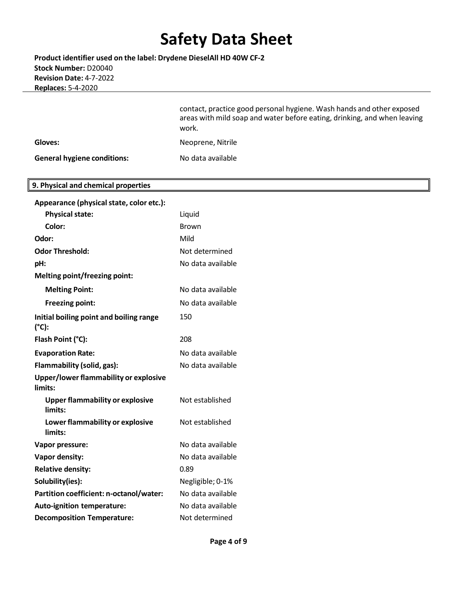**Product identifier used on the label: Drydene DieselAll HD 40W CF-2 Stock Number:** D20040 **Revision Date:** 4-7-2022  **Replaces:** 5-4-2020

> contact, practice good personal hygiene. Wash hands and other exposed areas with mild soap and water before eating, drinking, and when leaving work.

| Gloves: | Neoprene, Nitrile |
|---------|-------------------|
|         |                   |

**General hygiene conditions:** No data available

### **9. Physical and chemical properties**

| Appearance (physical state, color etc.):          |                   |
|---------------------------------------------------|-------------------|
| <b>Physical state:</b>                            | Liquid            |
| Color:                                            | <b>Brown</b>      |
| Odor:                                             | Mild              |
| <b>Odor Threshold:</b>                            | Not determined    |
| pH:                                               | No data available |
| <b>Melting point/freezing point:</b>              |                   |
| <b>Melting Point:</b>                             | No data available |
| <b>Freezing point:</b>                            | No data available |
| Initial boiling point and boiling range<br>(°C):  | 150               |
| Flash Point (°C):                                 | 208               |
| <b>Evaporation Rate:</b>                          | No data available |
| Flammability (solid, gas):                        | No data available |
| Upper/lower flammability or explosive<br>limits:  |                   |
| <b>Upper flammability or explosive</b><br>limits: | Not established   |
| Lower flammability or explosive<br>limits:        | Not established   |
| Vapor pressure:                                   | No data available |
| Vapor density:                                    | No data available |
| <b>Relative density:</b>                          | 0.89              |
| Solubility(ies):                                  | Negligible; 0-1%  |
| Partition coefficient: n-octanol/water:           | No data available |
| <b>Auto-ignition temperature:</b>                 | No data available |
| <b>Decomposition Temperature:</b>                 | Not determined    |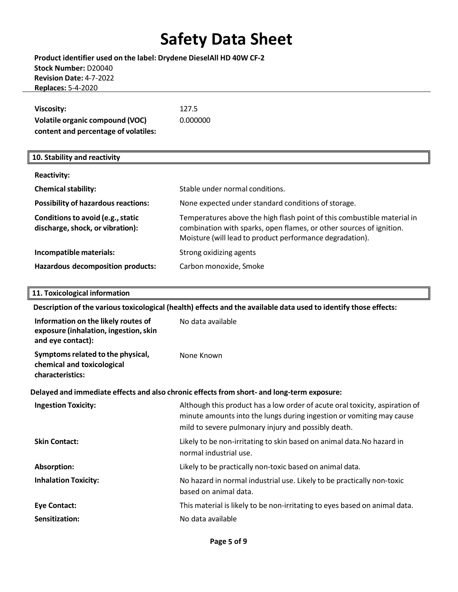### **Product identifier used on the label: Drydene DieselAll HD 40W CF-2 Stock Number:** D20040 **Revision Date:** 4-7-2022  **Replaces:** 5-4-2020

| Viscosity:                           | 127.5    |
|--------------------------------------|----------|
| Volatile organic compound (VOC)      | 0.000000 |
| content and percentage of volatiles: |          |

### **10. Stability and reactivity**

| <b>Reactivity:</b>                                                    |                                                                                                                                                                                                            |
|-----------------------------------------------------------------------|------------------------------------------------------------------------------------------------------------------------------------------------------------------------------------------------------------|
| <b>Chemical stability:</b>                                            | Stable under normal conditions.                                                                                                                                                                            |
| <b>Possibility of hazardous reactions:</b>                            | None expected under standard conditions of storage.                                                                                                                                                        |
| Conditions to avoid (e.g., static<br>discharge, shock, or vibration): | Temperatures above the high flash point of this combustible material in<br>combination with sparks, open flames, or other sources of ignition.<br>Moisture (will lead to product performance degradation). |
| Incompatible materials:                                               | Strong oxidizing agents                                                                                                                                                                                    |
| Hazardous decomposition products:                                     | Carbon monoxide, Smoke                                                                                                                                                                                     |

### **11. Toxicological information**

**Description of the varioustoxicological (health) effects and the available data used to identify those effects:**

| Information on the likely routes of<br>exposure (inhalation, ingestion, skin<br>and eye contact): | No data available                                                                                                                                                                                          |
|---------------------------------------------------------------------------------------------------|------------------------------------------------------------------------------------------------------------------------------------------------------------------------------------------------------------|
| Symptoms related to the physical,<br>chemical and toxicological<br>characteristics:               | None Known                                                                                                                                                                                                 |
|                                                                                                   | Delayed and immediate effects and also chronic effects from short- and long-term exposure:                                                                                                                 |
| <b>Ingestion Toxicity:</b>                                                                        | Although this product has a low order of acute oral toxicity, aspiration of<br>minute amounts into the lungs during ingestion or vomiting may cause<br>mild to severe pulmonary injury and possibly death. |
| <b>Skin Contact:</b>                                                                              | Likely to be non-irritating to skin based on animal data. No hazard in<br>normal industrial use.                                                                                                           |
| Absorption:                                                                                       | Likely to be practically non-toxic based on animal data.                                                                                                                                                   |
| <b>Inhalation Toxicity:</b>                                                                       | No hazard in normal industrial use. Likely to be practically non-toxic<br>based on animal data.                                                                                                            |
| <b>Eye Contact:</b>                                                                               | This material is likely to be non-irritating to eyes based on animal data.                                                                                                                                 |
| Sensitization:                                                                                    | No data available                                                                                                                                                                                          |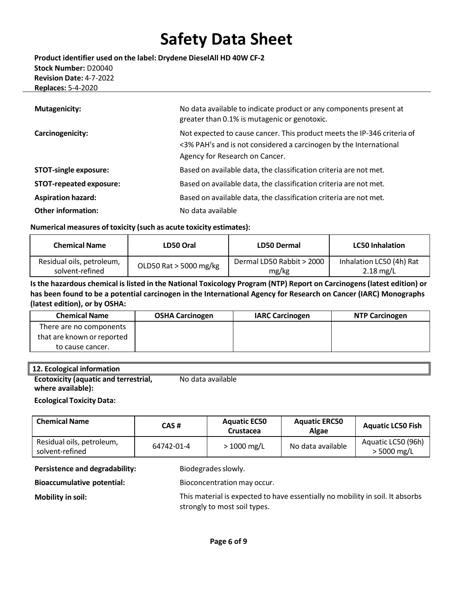**Product identifier used on the label: Drydene DieselAll HD 40W CF-2 Stock Number:** D20040 **Revision Date:** 4-7-2022  **Replaces:** 5-4-2020

| <b>Mutagenicity:</b>           | No data available to indicate product or any components present at<br>greater than 0.1% is mutagenic or genotoxic.                                                             |
|--------------------------------|--------------------------------------------------------------------------------------------------------------------------------------------------------------------------------|
| Carcinogenicity:               | Not expected to cause cancer. This product meets the IP-346 criteria of<br><3% PAH's and is not considered a carcinogen by the International<br>Agency for Research on Cancer. |
| <b>STOT-single exposure:</b>   | Based on available data, the classification criteria are not met.                                                                                                              |
| <b>STOT-repeated exposure:</b> | Based on available data, the classification criteria are not met.                                                                                                              |
| <b>Aspiration hazard:</b>      | Based on available data, the classification criteria are not met.                                                                                                              |
| <b>Other information:</b>      | No data available                                                                                                                                                              |

#### **Numerical measures of toxicity (such as acute toxicity estimates):**

| <b>Chemical Name</b>      | LD50 Oral              | LD50 Dermal               | <b>LC50 Inhalation</b>   |
|---------------------------|------------------------|---------------------------|--------------------------|
| Residual oils, petroleum, | OLD50 Rat > 5000 mg/kg | Dermal LD50 Rabbit > 2000 | Inhalation LC50 (4h) Rat |
| solvent-refined           |                        | mg/kg                     | $2.18 \text{ mg/L}$      |

### Is the hazardous chemical is listed in the National Toxicology Program (NTP) Report on Carcinogens (latest edition) or **has been found to be a potential carcinogen in the International Agency for Research on Cancer (IARC) Monographs (latest edition), or by OSHA:**

| <b>Chemical Name</b>       | <b>OSHA Carcinogen</b> | <b>IARC Carcinogen</b> | <b>NTP Carcinogen</b> |
|----------------------------|------------------------|------------------------|-----------------------|
| There are no components    |                        |                        |                       |
| that are known or reported |                        |                        |                       |
| to cause cancer.           |                        |                        |                       |

### **12. Ecological information**

**Ecotoxicity (aquatic and terrestrial, where available):**  No data available

#### **Ecological Toxicity Data:**

| <b>Chemical Name</b>                         | CAS #      | <b>Aquatic EC50</b><br>Crustacea | <b>Aquatic ERC50</b><br>Algae | <b>Aquatic LC50 Fish</b>            |
|----------------------------------------------|------------|----------------------------------|-------------------------------|-------------------------------------|
| Residual oils, petroleum,<br>solvent-refined | 64742-01-4 | $>1000$ mg/L                     | No data available             | Aquatic LC50 (96h)<br>$> 5000$ mg/L |

**Persistence and degradability:** Biodegrades slowly.

**Bioaccumulative potential:** Bioconcentration may occur.

**Mobility in soil:** This material is expected to have essentially no mobility in soil. It absorbs strongly to most soil types.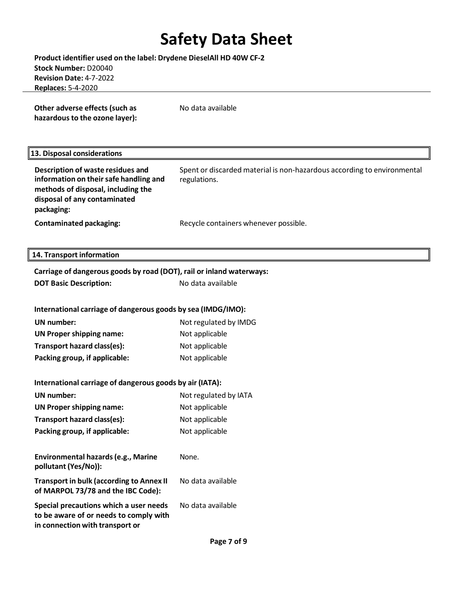**Product identifier used on the label: Drydene DieselAll HD 40W CF-2 Stock Number:** D20040 **Revision Date:** 4-7-2022  **Replaces:** 5-4-2020

**Other adverse effects (such as hazardous to the ozone layer):** No data available

### **13. Disposal considerations**

**Description of waste residues and information on theirsafe handling and methods of disposal, including the disposal of any contaminated packaging:** Spent or discarded material is non-hazardous according to environmental regulations. **Contaminated packaging:** Recycle containers whenever possible.

### **14. Transport information**

| Carriage of dangerous goods by road (DOT), rail or inland waterways:                                                |                       |  |  |  |
|---------------------------------------------------------------------------------------------------------------------|-----------------------|--|--|--|
| <b>DOT Basic Description:</b>                                                                                       | No data available     |  |  |  |
|                                                                                                                     |                       |  |  |  |
| International carriage of dangerous goods by sea (IMDG/IMO):                                                        |                       |  |  |  |
| <b>UN</b> number:                                                                                                   | Not regulated by IMDG |  |  |  |
| <b>UN Proper shipping name:</b>                                                                                     | Not applicable        |  |  |  |
| Transport hazard class(es):                                                                                         | Not applicable        |  |  |  |
| Packing group, if applicable:                                                                                       | Not applicable        |  |  |  |
|                                                                                                                     |                       |  |  |  |
| International carriage of dangerous goods by air (IATA):                                                            |                       |  |  |  |
| <b>UN number:</b>                                                                                                   | Not regulated by IATA |  |  |  |
| <b>UN Proper shipping name:</b>                                                                                     | Not applicable        |  |  |  |
| Transport hazard class(es):                                                                                         | Not applicable        |  |  |  |
| Packing group, if applicable:                                                                                       | Not applicable        |  |  |  |
|                                                                                                                     |                       |  |  |  |
| <b>Environmental hazards (e.g., Marine</b><br>pollutant (Yes/No)):                                                  | None.                 |  |  |  |
| <b>Transport in bulk (according to Annex II</b><br>of MARPOL 73/78 and the IBC Code):                               | No data available     |  |  |  |
| Special precautions which a user needs<br>to be aware of or needs to comply with<br>in connection with transport or | No data available     |  |  |  |
|                                                                                                                     | Page 7 of 9           |  |  |  |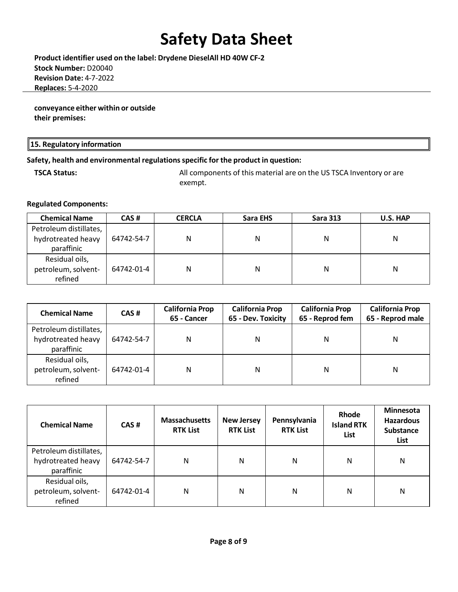**Product identifier used on the label: Drydene DieselAll HD 40W CF-2 Stock Number:** D20040 **Revision Date:** 4-7-2022  **Replaces:** 5-4-2020

**conveyance either within or outside their premises:**

### **15. Regulatory information**

### **Safety, health and environmental regulationsspecific for the product in question:**

**TSCA Status:** All components of this material are on the US TSCA Inventory or are exempt.

### **Regulated Components:**

| <b>Chemical Name</b>   | CAS#       | <b>CERCLA</b> | Sara EHS | <b>Sara 313</b> | U.S. HAP |
|------------------------|------------|---------------|----------|-----------------|----------|
| Petroleum distillates, |            |               |          |                 |          |
| hydrotreated heavy     | 64742-54-7 | N             | N        | Ν               | Ν        |
| paraffinic             |            |               |          |                 |          |
| Residual oils,         |            |               |          |                 |          |
| petroleum, solvent-    | 64742-01-4 | N             | N        | Ν               | Ν        |
| refined                |            |               |          |                 |          |

| <b>Chemical Name</b>                                       | CAS#       | <b>California Prop</b><br>65 - Cancer | <b>California Prop</b><br>65 - Dev. Toxicity | <b>California Prop</b><br>65 - Reprod fem | <b>California Prop</b><br>65 - Reprod male |
|------------------------------------------------------------|------------|---------------------------------------|----------------------------------------------|-------------------------------------------|--------------------------------------------|
| Petroleum distillates,<br>hydrotreated heavy<br>paraffinic | 64742-54-7 | N                                     | N                                            | N                                         | Ν                                          |
| Residual oils,<br>petroleum, solvent-<br>refined           | 64742-01-4 | N                                     | Ν                                            | N                                         | Ν                                          |

| <b>Chemical Name</b>                                       | CAS#       | <b>Massachusetts</b><br><b>RTK List</b> | <b>New Jersey</b><br><b>RTK List</b> | Pennsylvania<br><b>RTK List</b> | Rhode<br><b>Island RTK</b><br>List | <b>Minnesota</b><br><b>Hazardous</b><br><b>Substance</b><br>List |
|------------------------------------------------------------|------------|-----------------------------------------|--------------------------------------|---------------------------------|------------------------------------|------------------------------------------------------------------|
| Petroleum distillates,<br>hydrotreated heavy<br>paraffinic | 64742-54-7 | N                                       | N                                    | Ν                               | N                                  | N                                                                |
| Residual oils,<br>petroleum, solvent-<br>refined           | 64742-01-4 | N                                       | N                                    | N                               | N                                  | N                                                                |